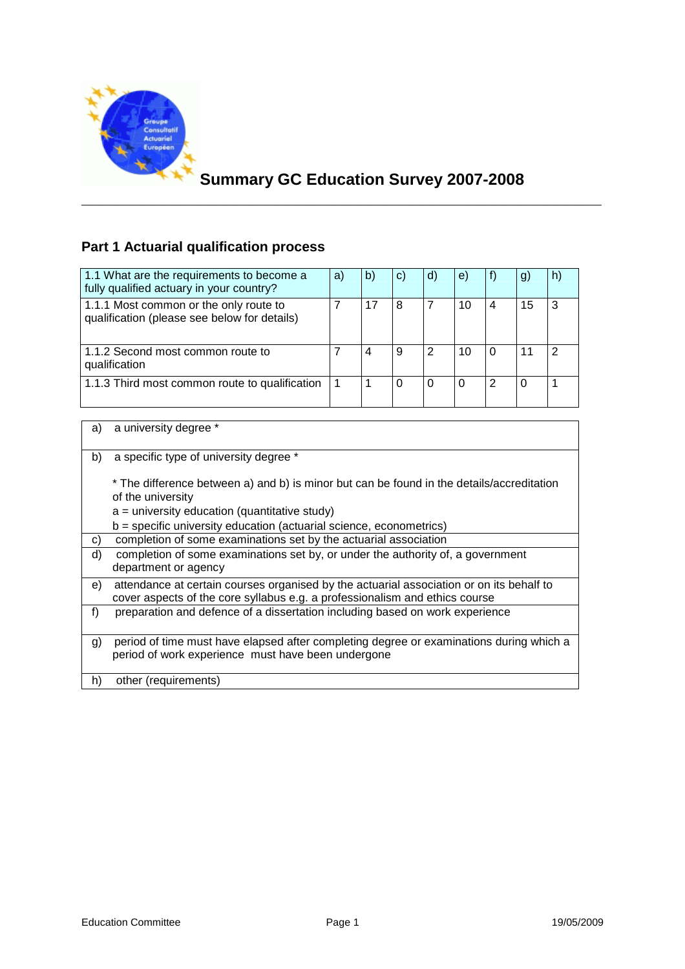

# **Summary GC Education Survey 2007-2008**

**\_\_\_\_\_\_\_\_\_\_\_\_\_\_\_\_\_\_\_\_\_\_\_\_\_\_\_\_\_\_\_\_\_\_\_\_\_\_\_\_\_\_\_\_\_\_\_\_\_\_\_\_\_\_\_\_\_\_** 

### **Part 1 Actuarial qualification process**

| 1.1 What are the requirements to become a<br>fully qualified actuary in your country?  | a) | b | C) | d) | e) |          | $\mathbf{g}$ | n) |
|----------------------------------------------------------------------------------------|----|---|----|----|----|----------|--------------|----|
| 1.1.1 Most common or the only route to<br>qualification (please see below for details) |    |   | 8  |    | 10 | 4        | 15           |    |
| 1.1.2 Second most common route to<br>qualification                                     |    |   | 9  |    | 10 | $\Omega$ | 11           |    |
| 1.1.3 Third most common route to qualification                                         |    |   | O  |    |    | 2        | 0            |    |

#### a) a university degree \*

b) a specific type of university degree \*

\* The difference between a) and b) is minor but can be found in the details/accreditation of the university

- $a =$  university education (quantitative study)
- $b =$  specific university education (actuarial science, econometrics)

c) completion of some examinations set by the actuarial association

- d) completion of some examinations set by, or under the authority of, a government department or agency e) attendance at certain courses organised by the actuarial association or on its behalf to
- cover aspects of the core syllabus e.g. a professionalism and ethics course
- f) preparation and defence of a dissertation including based on work experience
- g) period of time must have elapsed after completing degree or examinations during which a period of work experience must have been undergone

h) other (requirements)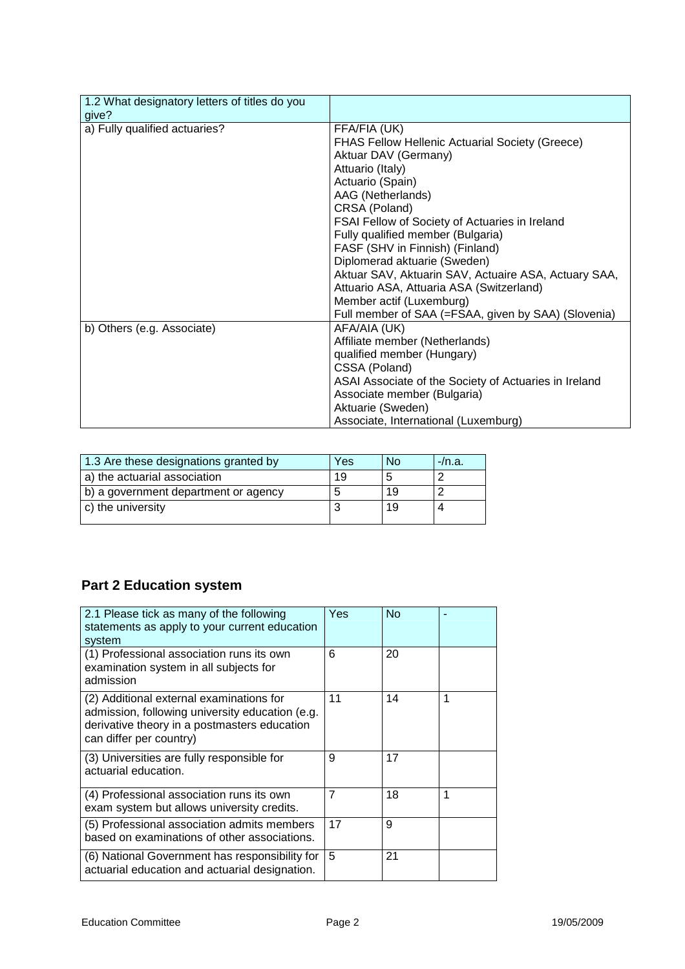| 1.2 What designatory letters of titles do you |                                                        |
|-----------------------------------------------|--------------------------------------------------------|
| give?                                         |                                                        |
| a) Fully qualified actuaries?                 | FFA/FIA (UK)                                           |
|                                               | <b>FHAS Fellow Hellenic Actuarial Society (Greece)</b> |
|                                               | Aktuar DAV (Germany)                                   |
|                                               | Attuario (Italy)                                       |
|                                               | Actuario (Spain)                                       |
|                                               | AAG (Netherlands)                                      |
|                                               | CRSA (Poland)                                          |
|                                               | FSAI Fellow of Society of Actuaries in Ireland         |
|                                               | Fully qualified member (Bulgaria)                      |
|                                               | FASF (SHV in Finnish) (Finland)                        |
|                                               | Diplomerad aktuarie (Sweden)                           |
|                                               | Aktuar SAV, Aktuarin SAV, Actuaire ASA, Actuary SAA,   |
|                                               | Attuario ASA, Attuaria ASA (Switzerland)               |
|                                               | Member actif (Luxemburg)                               |
|                                               | Full member of SAA (=FSAA, given by SAA) (Slovenia)    |
| b) Others (e.g. Associate)                    | AFA/AIA (UK)                                           |
|                                               | Affiliate member (Netherlands)                         |
|                                               | qualified member (Hungary)                             |
|                                               | CSSA (Poland)                                          |
|                                               | ASAI Associate of the Society of Actuaries in Ireland  |
|                                               | Associate member (Bulgaria)                            |
|                                               | Aktuarie (Sweden)                                      |
|                                               | Associate, International (Luxemburg)                   |

| 1.3 Are these designations granted by | Yes | No | -/n.a. |
|---------------------------------------|-----|----|--------|
| a) the actuarial association          | 19  |    |        |
| b) a government department or agency  |     | 19 |        |
| c) the university                     |     | 19 |        |
|                                       |     |    |        |

### **Part 2 Education system**

| 2.1 Please tick as many of the following<br>statements as apply to your current education<br>system                                                                    | Yes | No |   |
|------------------------------------------------------------------------------------------------------------------------------------------------------------------------|-----|----|---|
| (1) Professional association runs its own<br>examination system in all subjects for<br>admission                                                                       | 6   | 20 |   |
| (2) Additional external examinations for<br>admission, following university education (e.g.<br>derivative theory in a postmasters education<br>can differ per country) | 11  | 14 |   |
| (3) Universities are fully responsible for<br>actuarial education.                                                                                                     | 9   | 17 |   |
| (4) Professional association runs its own<br>exam system but allows university credits.                                                                                | 7   | 18 | 1 |
| (5) Professional association admits members<br>based on examinations of other associations.                                                                            | 17  | 9  |   |
| (6) National Government has responsibility for<br>actuarial education and actuarial designation.                                                                       | 5   | 21 |   |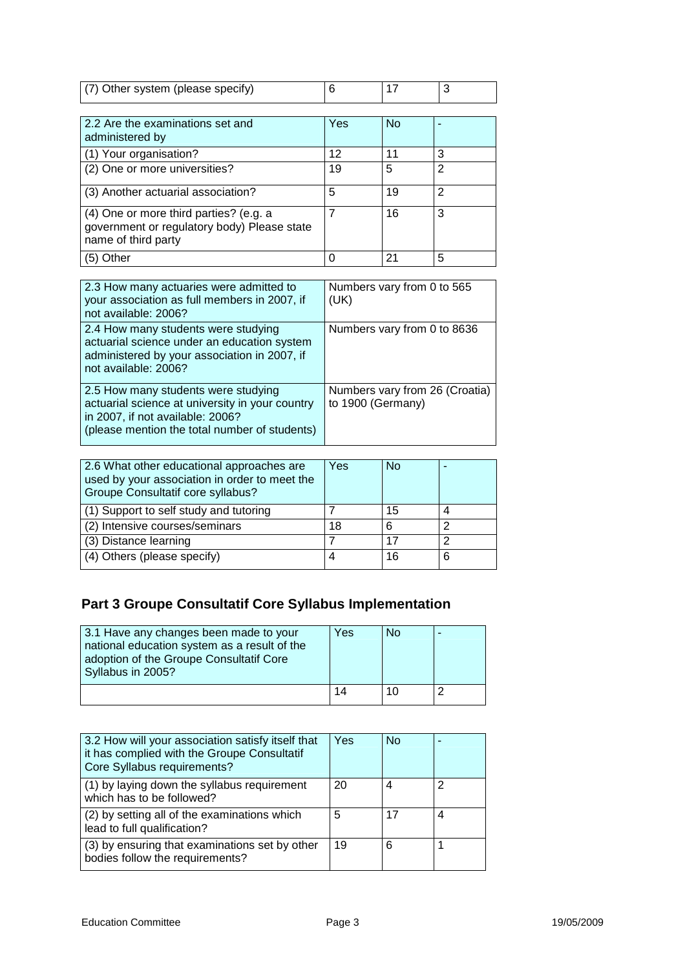| (7) Other system (please specify) |  |  |
|-----------------------------------|--|--|

| 2.2 Are the examinations set and<br>administered by                                                          | Yes | <b>No</b> |   |
|--------------------------------------------------------------------------------------------------------------|-----|-----------|---|
| (1) Your organisation?                                                                                       | 12  | 11        | 3 |
| (2) One or more universities?                                                                                | 19  | 5         | 2 |
| (3) Another actuarial association?                                                                           | 5   | 19        | 2 |
| (4) One or more third parties? (e.g. a<br>government or regulatory body) Please state<br>name of third party |     | 16        | 3 |
| ther                                                                                                         |     | 21        | 5 |

| 2.3 How many actuaries were admitted to<br>your association as full members in 2007, if<br>not available: 2006?                                                             | Numbers vary from 0 to 565<br>(UK)                  |
|-----------------------------------------------------------------------------------------------------------------------------------------------------------------------------|-----------------------------------------------------|
| 2.4 How many students were studying<br>actuarial science under an education system<br>administered by your association in 2007, if<br>not available: 2006?                  | Numbers vary from 0 to 8636                         |
| 2.5 How many students were studying<br>actuarial science at university in your country<br>in 2007, if not available: 2006?<br>(please mention the total number of students) | Numbers vary from 26 (Croatia)<br>to 1900 (Germany) |

| 2.6 What other educational approaches are<br>used by your association in order to meet the<br>Groupe Consultatif core syllabus? | Yes | No |   |
|---------------------------------------------------------------------------------------------------------------------------------|-----|----|---|
| (1) Support to self study and tutoring                                                                                          |     | 15 |   |
| (2) Intensive courses/seminars                                                                                                  | 18  | 6  | ີ |
| (3) Distance learning                                                                                                           |     | 17 | ◠ |
| (4) Others (please specify)                                                                                                     |     | 16 | 6 |

# **Part 3 Groupe Consultatif Core Syllabus Implementation**

| 3.1 Have any changes been made to your<br>national education system as a result of the<br>adoption of the Groupe Consultatif Core<br>Syllabus in 2005? | Yes | No |  |
|--------------------------------------------------------------------------------------------------------------------------------------------------------|-----|----|--|
|                                                                                                                                                        | 14  | 10 |  |

| 3.2 How will your association satisfy itself that<br>it has complied with the Groupe Consultatif<br>Core Syllabus requirements? | Yes | <b>No</b> |   |
|---------------------------------------------------------------------------------------------------------------------------------|-----|-----------|---|
| (1) by laying down the syllabus requirement<br>which has to be followed?                                                        | 20  | 4         | ົ |
| (2) by setting all of the examinations which<br>lead to full qualification?                                                     | 5   | 17        |   |
| (3) by ensuring that examinations set by other<br>bodies follow the requirements?                                               | 19  | 6         |   |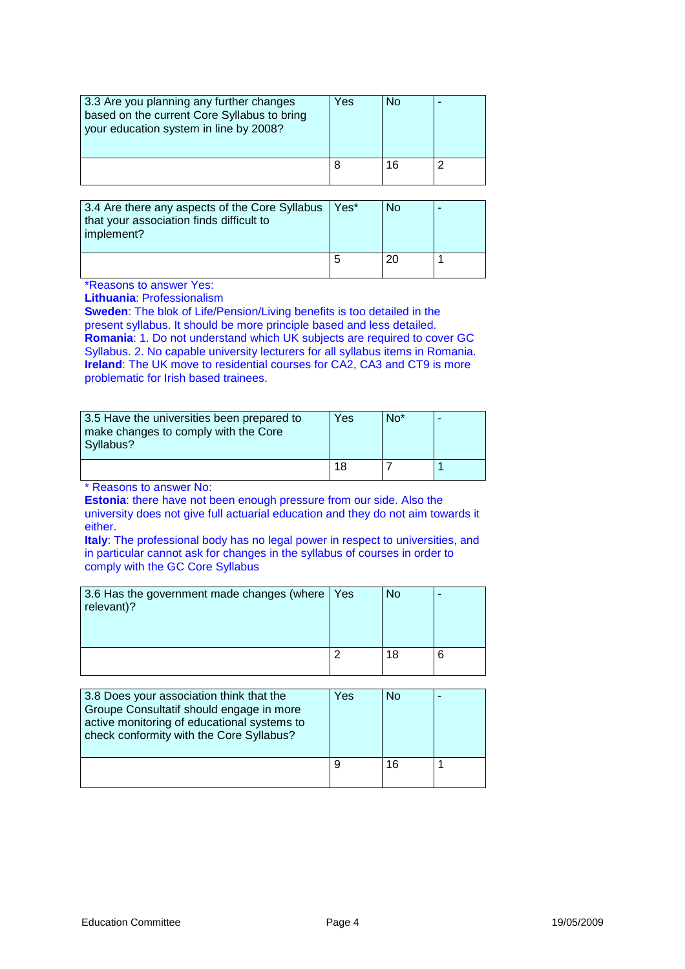| 3.3 Are you planning any further changes<br>based on the current Core Syllabus to bring<br>your education system in line by 2008? | Yes | No |  |
|-----------------------------------------------------------------------------------------------------------------------------------|-----|----|--|
|                                                                                                                                   |     |    |  |

| 3.4 Are there any aspects of the Core Syllabus<br>that your association finds difficult to<br>implement? | Yes* | Nο |  |
|----------------------------------------------------------------------------------------------------------|------|----|--|
|                                                                                                          |      | 20 |  |

\*Reasons to answer Yes:

**Lithuania**: Professionalism

**Sweden**: The blok of Life/Pension/Living benefits is too detailed in the present syllabus. It should be more principle based and less detailed. **Romania:** 1. Do not understand which UK subjects are required to cover GC Syllabus. 2. No capable university lecturers for all syllabus items in Romania. **Ireland**: The UK move to residential courses for CA2, CA3 and CT9 is more problematic for Irish based trainees.

| 3.5 Have the universities been prepared to<br>make changes to comply with the Core<br>Syllabus? | Yes | $No*$ |  |
|-------------------------------------------------------------------------------------------------|-----|-------|--|
|                                                                                                 | 18  |       |  |

\* Reasons to answer No:

**Estonia**: there have not been enough pressure from our side. Also the university does not give full actuarial education and they do not aim towards it either.

**Italy**: The professional body has no legal power in respect to universities, and in particular cannot ask for changes in the syllabus of courses in order to comply with the GC Core Syllabus

| 3.6 Has the government made changes (where<br>relevant)? | Yes | <b>No</b> |  |
|----------------------------------------------------------|-----|-----------|--|
|                                                          |     | 18        |  |

| 3.8 Does your association think that the<br>Groupe Consultatif should engage in more<br>active monitoring of educational systems to<br>check conformity with the Core Syllabus? | Yes | <b>No</b> |  |
|---------------------------------------------------------------------------------------------------------------------------------------------------------------------------------|-----|-----------|--|
|                                                                                                                                                                                 |     | 16        |  |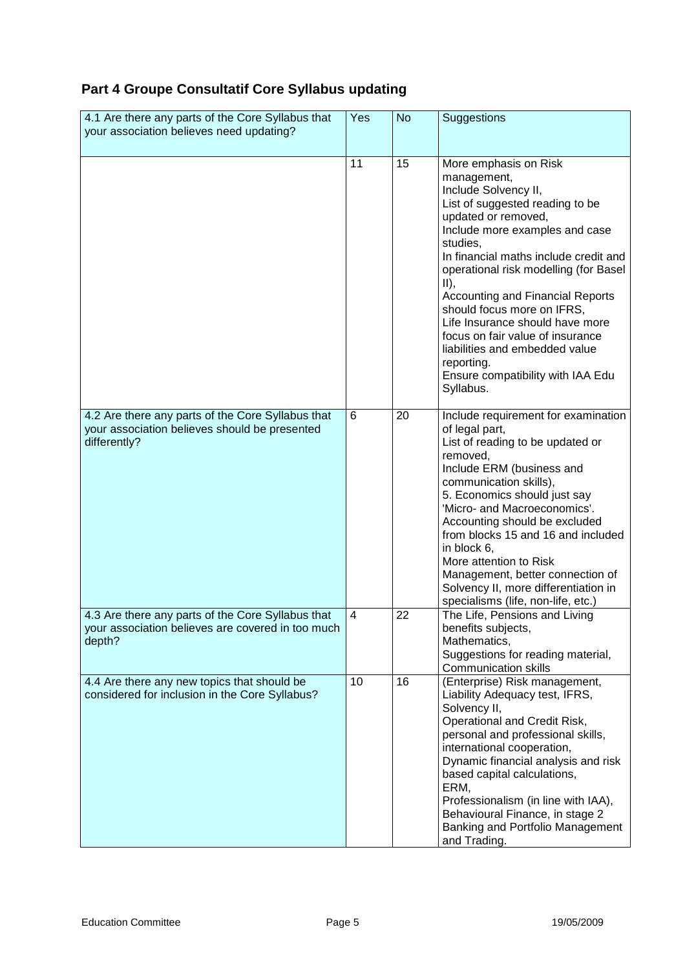## **Part 4 Groupe Consultatif Core Syllabus updating**

| 4.1 Are there any parts of the Core Syllabus that<br>your association believes need updating?                      | Yes | <b>No</b> | Suggestions                                                                                                                                                                                                                                                                                                                                                                                                                                                                                                        |
|--------------------------------------------------------------------------------------------------------------------|-----|-----------|--------------------------------------------------------------------------------------------------------------------------------------------------------------------------------------------------------------------------------------------------------------------------------------------------------------------------------------------------------------------------------------------------------------------------------------------------------------------------------------------------------------------|
|                                                                                                                    | 11  | 15        | More emphasis on Risk<br>management,<br>Include Solvency II,<br>List of suggested reading to be<br>updated or removed,<br>Include more examples and case<br>studies,<br>In financial maths include credit and<br>operational risk modelling (for Basel<br>$II$ ,<br><b>Accounting and Financial Reports</b><br>should focus more on IFRS,<br>Life Insurance should have more<br>focus on fair value of insurance<br>liabilities and embedded value<br>reporting.<br>Ensure compatibility with IAA Edu<br>Syllabus. |
| 4.2 Are there any parts of the Core Syllabus that<br>your association believes should be presented<br>differently? | 6   | 20        | Include requirement for examination<br>of legal part,<br>List of reading to be updated or<br>removed,<br>Include ERM (business and<br>communication skills),<br>5. Economics should just say<br>'Micro- and Macroeconomics'.<br>Accounting should be excluded<br>from blocks 15 and 16 and included<br>in block 6,<br>More attention to Risk<br>Management, better connection of<br>Solvency II, more differentiation in<br>specialisms (life, non-life, etc.)                                                     |
| 4.3 Are there any parts of the Core Syllabus that<br>your association believes are covered in too much<br>depth?   | 4   | 22        | The Life, Pensions and Living<br>benefits subjects,<br>Mathematics,<br>Suggestions for reading material,<br><b>Communication skills</b>                                                                                                                                                                                                                                                                                                                                                                            |
| 4.4 Are there any new topics that should be<br>considered for inclusion in the Core Syllabus?                      | 10  | 16        | (Enterprise) Risk management,<br>Liability Adequacy test, IFRS,<br>Solvency II,<br>Operational and Credit Risk,<br>personal and professional skills,<br>international cooperation,<br>Dynamic financial analysis and risk<br>based capital calculations,<br>ERM,<br>Professionalism (in line with IAA),<br>Behavioural Finance, in stage 2<br>Banking and Portfolio Management<br>and Trading.                                                                                                                     |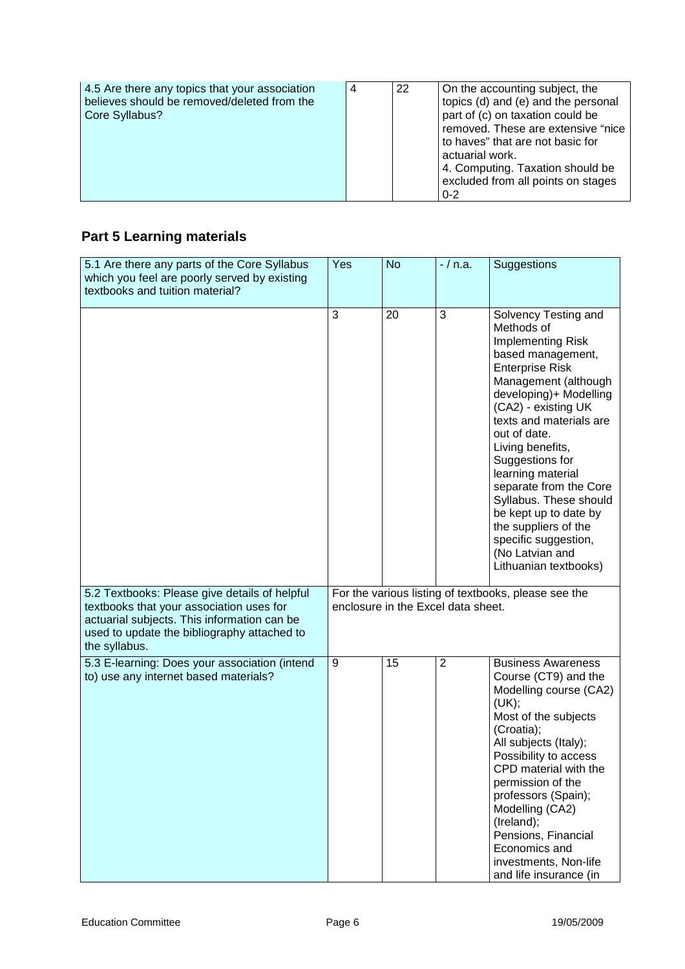| 4.5 Are there any topics that your association<br>believes should be removed/deleted from the<br>Core Syllabus? | 4 | 22 | On the accounting subject, the<br>topics (d) and (e) and the personal<br>part of (c) on taxation could be<br>removed. These are extensive "nice<br>to haves" that are not basic for<br>actuarial work.<br>4. Computing. Taxation should be<br>excluded from all points on stages<br>$0 - 2$ |
|-----------------------------------------------------------------------------------------------------------------|---|----|---------------------------------------------------------------------------------------------------------------------------------------------------------------------------------------------------------------------------------------------------------------------------------------------|
|-----------------------------------------------------------------------------------------------------------------|---|----|---------------------------------------------------------------------------------------------------------------------------------------------------------------------------------------------------------------------------------------------------------------------------------------------|

## **Part 5 Learning materials**

| 5.1 Are there any parts of the Core Syllabus<br>which you feel are poorly served by existing<br>textbooks and tuition material?                                                                          | Yes | <b>No</b>                          | $-$ / n.a.     | Suggestions                                                                                                                                                                                                                                                                                                                                                                                                                                                     |
|----------------------------------------------------------------------------------------------------------------------------------------------------------------------------------------------------------|-----|------------------------------------|----------------|-----------------------------------------------------------------------------------------------------------------------------------------------------------------------------------------------------------------------------------------------------------------------------------------------------------------------------------------------------------------------------------------------------------------------------------------------------------------|
|                                                                                                                                                                                                          | 3   | 20                                 | 3              | Solvency Testing and<br>Methods of<br>Implementing Risk<br>based management,<br><b>Enterprise Risk</b><br>Management (although<br>developing)+ Modelling<br>(CA2) - existing UK<br>texts and materials are<br>out of date.<br>Living benefits,<br>Suggestions for<br>learning material<br>separate from the Core<br>Syllabus. These should<br>be kept up to date by<br>the suppliers of the<br>specific suggestion,<br>(No Latvian and<br>Lithuanian textbooks) |
| 5.2 Textbooks: Please give details of helpful<br>textbooks that your association uses for<br>actuarial subjects. This information can be<br>used to update the bibliography attached to<br>the syllabus. |     | enclosure in the Excel data sheet. |                | For the various listing of textbooks, please see the                                                                                                                                                                                                                                                                                                                                                                                                            |
| 5.3 E-learning: Does your association (intend<br>to) use any internet based materials?                                                                                                                   | 9   | 15                                 | $\overline{2}$ | <b>Business Awareness</b><br>Course (CT9) and the<br>Modelling course (CA2)<br>(UK);<br>Most of the subjects<br>(Croatia);<br>All subjects (Italy);<br>Possibility to access<br>CPD material with the<br>permission of the<br>professors (Spain);<br>Modelling (CA2)<br>(Ireland);<br>Pensions, Financial<br>Economics and<br>investments, Non-life<br>and life insurance (in                                                                                   |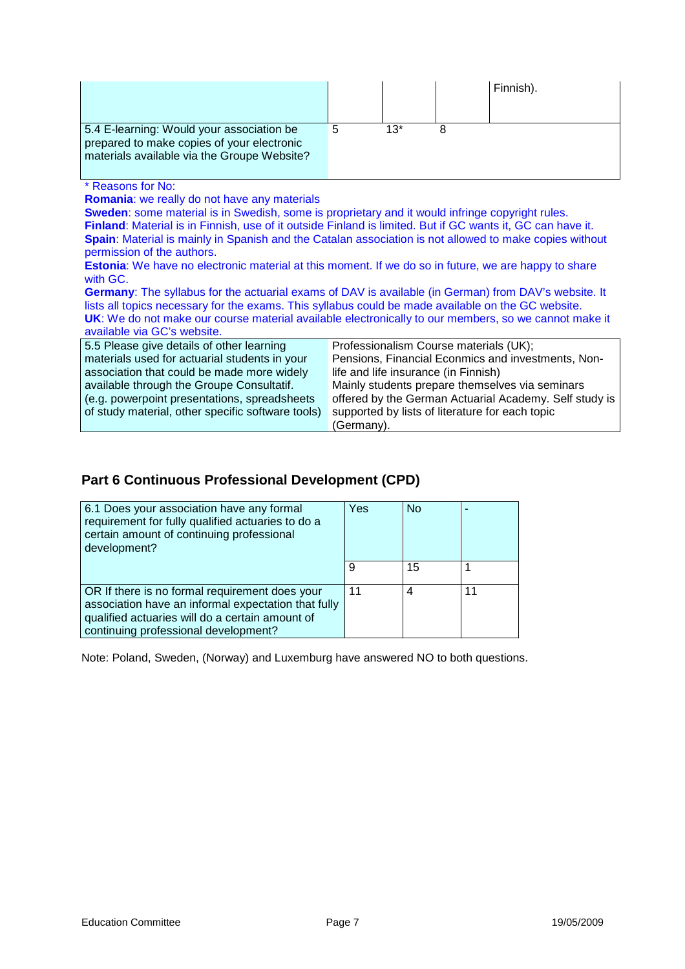|                                                                                                                                                                                                                                                                                                                                                                                                     |   |     |   | Finnish). |
|-----------------------------------------------------------------------------------------------------------------------------------------------------------------------------------------------------------------------------------------------------------------------------------------------------------------------------------------------------------------------------------------------------|---|-----|---|-----------|
| 5.4 E-learning: Would your association be<br>prepared to make copies of your electronic<br>materials available via the Groupe Website?                                                                                                                                                                                                                                                              | 5 | 13* | 8 |           |
| * Reasons for No:<br><b>Romania:</b> we really do not have any materials<br>Sweden: some material is in Swedish, some is proprietary and it would infringe copyright rules.<br>Finland: Material is in Finnish, use of it outside Finland is limited. But if GC wants it, GC can have it.<br>Spain: Material is mainly in Spanish and the Catalan association is not allowed to make copies without |   |     |   |           |

permission of the authors.

**Estonia**: We have no electronic material at this moment. If we do so in future, we are happy to share with GC.

**Germany**: The syllabus for the actuarial exams of DAV is available (in German) from DAV's website. It lists all topics necessary for the exams. This syllabus could be made available on the GC website. **UK**: We do not make our course material available electronically to our members, so we cannot make it available via GC's website.

| 5.5 Please give details of other learning         | Professionalism Course materials (UK);                 |
|---------------------------------------------------|--------------------------------------------------------|
| materials used for actuarial students in your     | Pensions, Financial Econmics and investments, Non-     |
| association that could be made more widely        | life and life insurance (in Finnish)                   |
| available through the Groupe Consultatif.         | Mainly students prepare themselves via seminars        |
| (e.g. powerpoint presentations, spreadsheets      | offered by the German Actuarial Academy. Self study is |
| of study material, other specific software tools) | supported by lists of literature for each topic        |
|                                                   | (Germany).                                             |

### **Part 6 Continuous Professional Development (CPD)**

| 6.1 Does your association have any formal<br>requirement for fully qualified actuaries to do a<br>certain amount of continuing professional<br>development?                                      | Yes | <b>No</b> |    |
|--------------------------------------------------------------------------------------------------------------------------------------------------------------------------------------------------|-----|-----------|----|
|                                                                                                                                                                                                  | 9   | 15        |    |
| OR If there is no formal requirement does your<br>association have an informal expectation that fully<br>qualified actuaries will do a certain amount of<br>continuing professional development? | 11  | 4         | 11 |

Note: Poland, Sweden, (Norway) and Luxemburg have answered NO to both questions.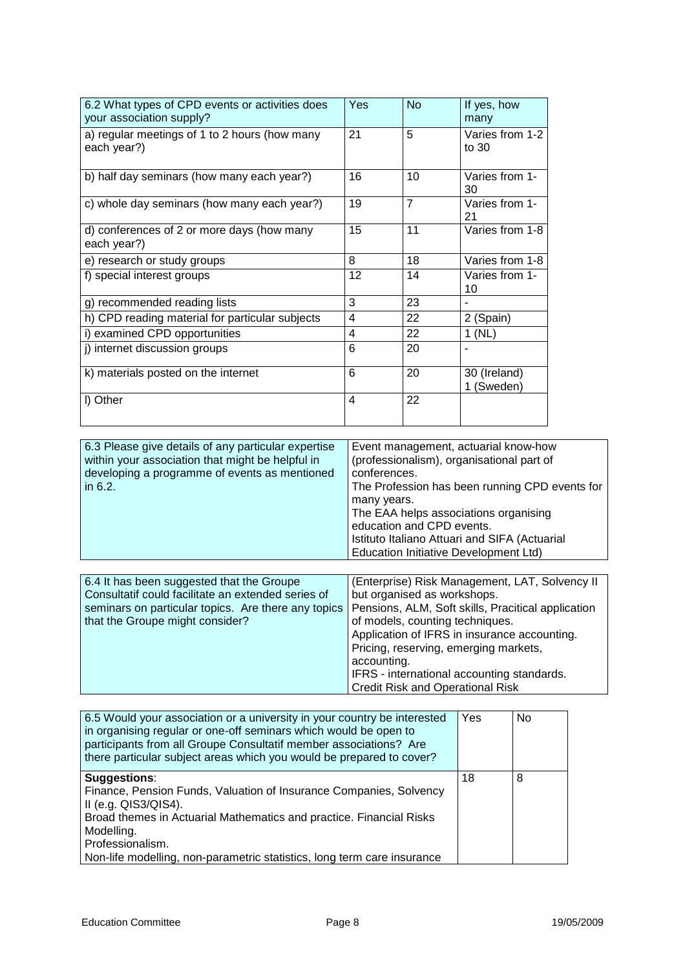| 6.2 What types of CPD events or activities does<br>your association supply? | Yes | <b>No</b> | If yes, how<br>many        |
|-----------------------------------------------------------------------------|-----|-----------|----------------------------|
| a) regular meetings of 1 to 2 hours (how many<br>each year?)                | 21  | 5         | Varies from 1-2<br>to $30$ |
| b) half day seminars (how many each year?)                                  | 16  | 10        | Varies from 1-<br>30       |
| c) whole day seminars (how many each year?)                                 | 19  | 7         | Varies from 1-<br>21       |
| d) conferences of 2 or more days (how many<br>each year?)                   | 15  | 11        | Varies from 1-8            |
| e) research or study groups                                                 | 8   | 18        | Varies from 1-8            |
| f) special interest groups                                                  | 12  | 14        | Varies from 1-<br>10       |
| g) recommended reading lists                                                | 3   | 23        |                            |
| h) CPD reading material for particular subjects                             | 4   | 22        | 2 (Spain)                  |
| i) examined CPD opportunities                                               | 4   | 22        | 1(NL)                      |
| j) internet discussion groups                                               | 6   | 20        | ÷,                         |
| k) materials posted on the internet                                         | 6   | 20        | 30 (Ireland)<br>1 (Sweden) |
| I) Other                                                                    | 4   | 22        |                            |

| 6.3 Please give details of any particular expertise<br>within your association that might be helpful in<br>developing a programme of events as mentioned<br>in $6.2$ . | Event management, actuarial know-how<br>(professionalism), organisational part of<br>conferences.<br>The Profession has been running CPD events for<br>many years.<br>The EAA helps associations organising<br>education and CPD events.<br>Istituto Italiano Attuari and SIFA (Actuarial<br>Education Initiative Development Ltd) |
|------------------------------------------------------------------------------------------------------------------------------------------------------------------------|------------------------------------------------------------------------------------------------------------------------------------------------------------------------------------------------------------------------------------------------------------------------------------------------------------------------------------|
|------------------------------------------------------------------------------------------------------------------------------------------------------------------------|------------------------------------------------------------------------------------------------------------------------------------------------------------------------------------------------------------------------------------------------------------------------------------------------------------------------------------|

| 6.4 It has been suggested that the Groupe           | (Enterprise) Risk Management, LAT, Solvency II     |
|-----------------------------------------------------|----------------------------------------------------|
| Consultatif could facilitate an extended series of  | but organised as workshops.                        |
| seminars on particular topics. Are there any topics | Pensions, ALM, Soft skills, Pracitical application |
| that the Groupe might consider?                     | of models, counting techniques.                    |
|                                                     | Application of IFRS in insurance accounting.       |
|                                                     | Pricing, reserving, emerging markets,              |
|                                                     | accounting.                                        |
|                                                     | IFRS - international accounting standards.         |
|                                                     | <b>Credit Risk and Operational Risk</b>            |

| 6.5 Would your association or a university in your country be interested<br>in organising regular or one-off seminars which would be open to<br>participants from all Groupe Consultatif member associations? Are<br>there particular subject areas which you would be prepared to cover?             | Yes | <b>No</b> |
|-------------------------------------------------------------------------------------------------------------------------------------------------------------------------------------------------------------------------------------------------------------------------------------------------------|-----|-----------|
| <b>Suggestions:</b><br>Finance, Pension Funds, Valuation of Insurance Companies, Solvency<br>II (e.g. QIS3/QIS4).<br>Broad themes in Actuarial Mathematics and practice. Financial Risks<br>Modelling.<br>Professionalism.<br>Non-life modelling, non-parametric statistics, long term care insurance | 18  | 8         |